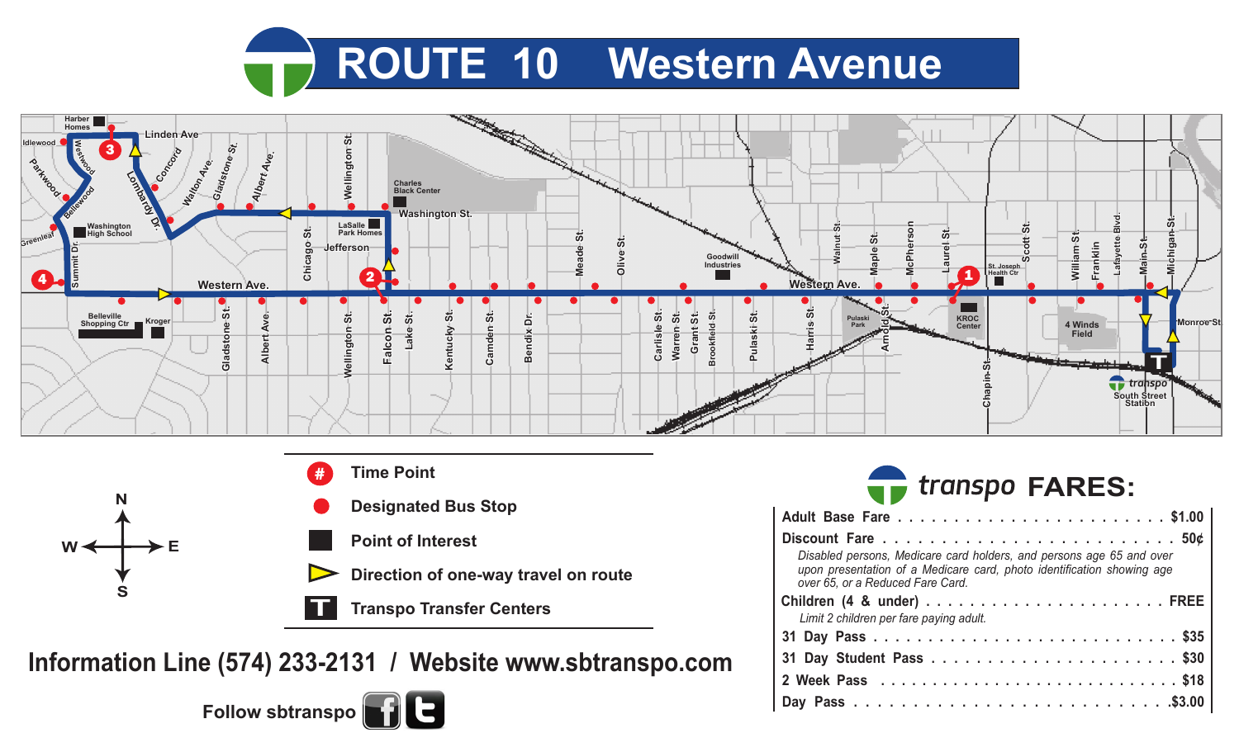





**Information Line (574) 233-2131 / Website www.sbtranspo.com**



|        | <b>The transpo FARES:</b> |  |
|--------|---------------------------|--|
| . Fase |                           |  |

| Disabled persons, Medicare card holders, and persons age 65 and over<br>upon presentation of a Medicare card, photo identification showing age<br>over 65, or a Reduced Fare Card. |  |  |  |  |  |  |
|------------------------------------------------------------------------------------------------------------------------------------------------------------------------------------|--|--|--|--|--|--|
|                                                                                                                                                                                    |  |  |  |  |  |  |
| Limit 2 children per fare paying adult.                                                                                                                                            |  |  |  |  |  |  |
|                                                                                                                                                                                    |  |  |  |  |  |  |
|                                                                                                                                                                                    |  |  |  |  |  |  |
|                                                                                                                                                                                    |  |  |  |  |  |  |
|                                                                                                                                                                                    |  |  |  |  |  |  |